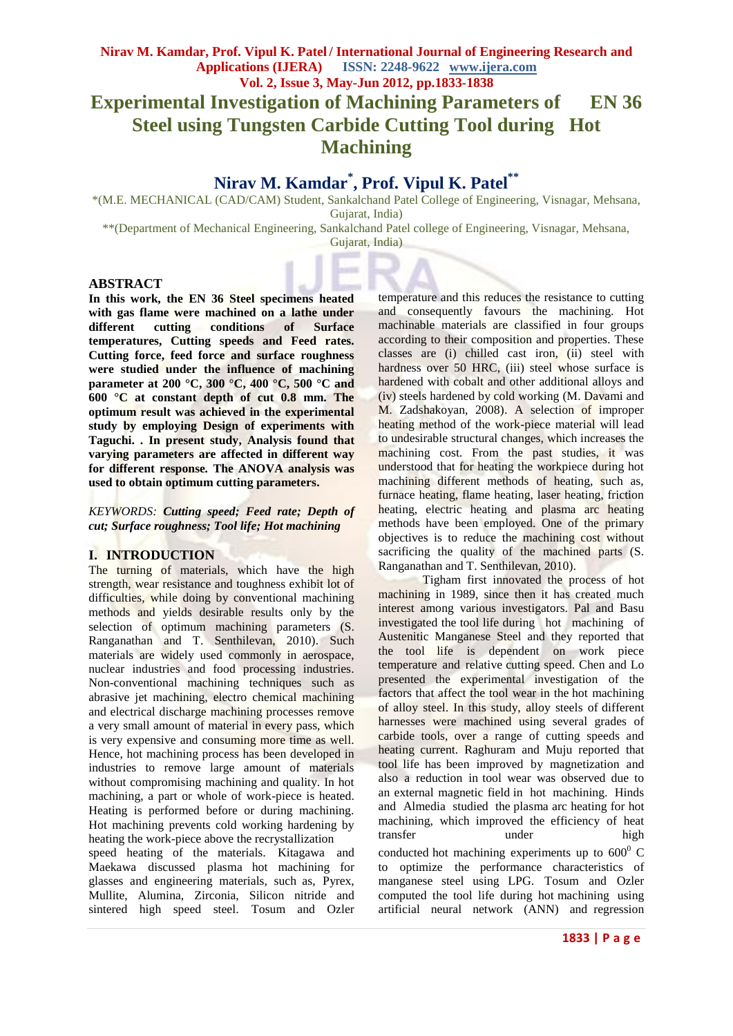# **Nirav M. Kamdar\* , Prof. Vipul K. Patel\*\***

\*(M.E. MECHANICAL (CAD/CAM) Student, Sankalchand Patel College of Engineering, Visnagar, Mehsana, Gujarat, India)

\*\*(Department of Mechanical Engineering, Sankalchand Patel college of Engineering, Visnagar, Mehsana,

Gujarat, India)

## **ABSTRACT**

**In this work, the EN 36 Steel specimens heated with gas flame were machined on a lathe under different cutting conditions of Surface temperatures, Cutting speeds and Feed rates. Cutting force, feed force and surface roughness were studied under the influence of machining parameter at 200 °C, 300 °C, 400 °C, 500 °C and 600 °C at constant depth of cut 0.8 mm. The optimum result was achieved in the experimental study by employing Design of experiments with Taguchi. . In present study, Analysis found that varying parameters are affected in different way for different response***.* **The ANOVA analysis was used to obtain optimum cutting parameters.**

*KEYWORDS: Cutting speed; Feed rate; Depth of cut; Surface roughness; Tool life; Hot machining*

## **I. INTRODUCTION**

The turning of materials, which have the high strength, wear resistance and toughness exhibit lot of difficulties, while doing by conventional machining methods and yields desirable results only by the selection of optimum machining parameters (S. Ranganathan and T. Senthilevan, 2010). Such materials are widely used commonly in aerospace, nuclear industries and food processing industries. Non-conventional machining techniques such as abrasive jet machining, electro chemical machining and electrical discharge machining processes remove a very small amount of material in every pass, which is very expensive and consuming more time as well. Hence, hot machining process has been developed in industries to remove large amount of materials without compromising machining and quality. In hot machining, a part or whole of work-piece is heated. Heating is performed before or during machining. Hot machining prevents cold working hardening by heating the work-piece above the recrystallization

speed heating of the materials. Kitagawa and Maekawa discussed plasma hot machining for glasses and engineering materials, such as, Pyrex, Mullite, Alumina, Zirconia, Silicon nitride and sintered high speed steel. Tosum and Ozler temperature and this reduces the resistance to cutting and consequently favours the machining. Hot machinable materials are classified in four groups according to their composition and properties. These classes are (i) chilled cast iron, (ii) steel with hardness over 50 HRC, (iii) steel whose surface is hardened with cobalt and other additional alloys and (iv) steels hardened by cold working (M. Davami and M. Zadshakoyan, 2008). A selection of improper heating method of the work-piece material will lead to undesirable structural changes, which increases the machining cost. From the past studies, it was understood that for heating the workpiece during hot machining different methods of heating, such as, furnace heating, flame heating, laser heating, friction heating, electric heating and plasma arc heating methods have been employed. One of the primary objectives is to reduce the machining cost without sacrificing the quality of the machined parts (S. Ranganathan and T. Senthilevan, 2010).

Tigham first innovated the process of hot machining in 1989, since then it has created much interest among various investigators. Pal and Basu investigated the tool life during hot machining of Austenitic Manganese Steel and they reported that the tool life is dependent on work piece temperature and relative cutting speed. Chen and Lo presented the experimental investigation of the factors that affect the tool wear in the hot machining of alloy steel. In this study, alloy steels of different harnesses were machined using several grades of carbide tools, over a range of cutting speeds and heating current. Raghuram and Muju reported that tool life has been improved by magnetization and also a reduction in tool wear was observed due to an external magnetic field in hot machining. Hinds and Almedia studied the plasma arc heating for hot machining, which improved the efficiency of heat transfer under high conducted hot machining experiments up to  $600^{\circ}$  C

to optimize the performance characteristics of manganese steel using LPG. Tosum and Ozler computed the tool life during hot machining using artificial neural network (ANN) and regression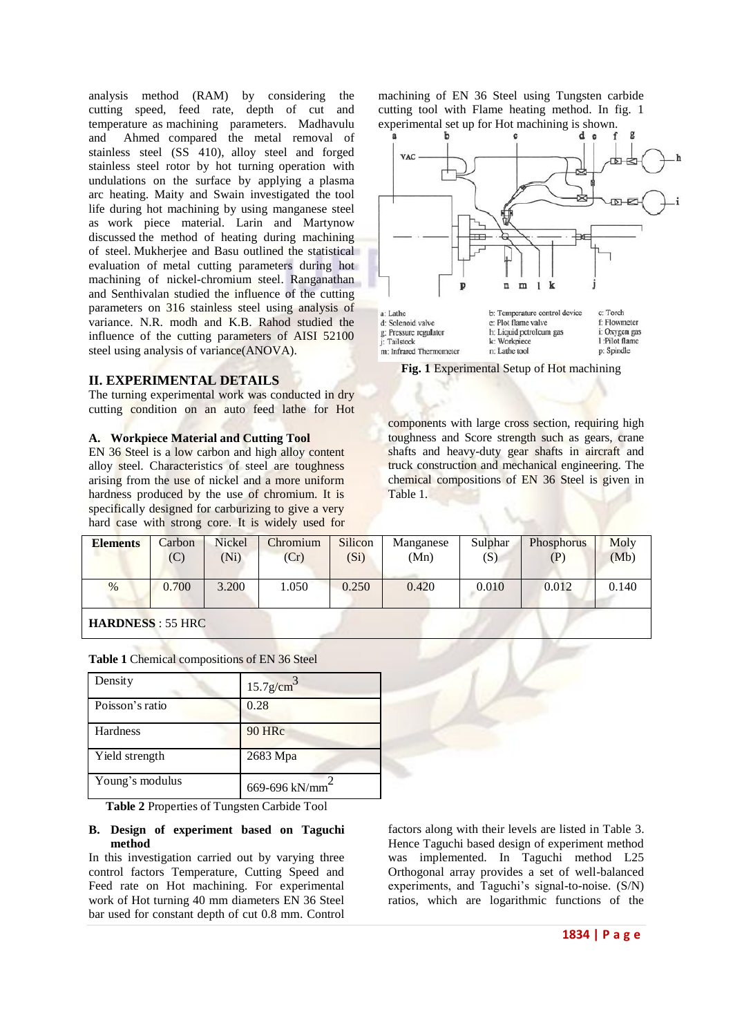analysis method (RAM) by considering the cutting speed, feed rate, depth of cut and temperature as machining parameters. Madhavulu and Ahmed compared the metal removal of stainless steel (SS 410), alloy steel and forged stainless steel rotor by hot turning operation with undulations on the surface by applying a plasma arc heating. Maity and Swain investigated the tool life during hot machining by using manganese steel as work piece material. Larin and Martynow discussed the method of heating during machining of steel. Mukherjee and Basu outlined the statistical evaluation of metal cutting parameters during hot machining of nickel-chromium steel. Ranganathan and Senthivalan studied the influence of the cutting parameters on 316 stainless steel using analysis of variance. N.R. modh and K.B. Rahod studied the influence of the cutting parameters of AISI 52100 steel using analysis of variance(ANOVA).

#### **II. EXPERIMENTAL DETAILS**

The turning experimental work was conducted in dry cutting condition on an auto feed lathe for Hot

#### **A. Workpiece Material and Cutting Tool**

EN 36 Steel is a low carbon and high alloy content alloy steel. Characteristics of steel are toughness arising from the use of nickel and a more uniform hardness produced by the use of chromium. It is specifically designed for carburizing to give a very hard case with strong core. It is widely used for machining of EN 36 Steel using Tungsten carbide cutting tool with Flame heating method. In fig. 1 experimental set up for Hot machining is shown.



**Fig. 1** Experimental Setup of Hot machining

components with large cross section, requiring high toughness and Score strength such as gears, crane shafts and heavy-duty gear shafts in aircraft and truck construction and mechanical engineering. The chemical compositions of EN 36 Steel is given in Table 1.

| <b>Elements</b> | Carbon<br>(C) | Nickel<br>(Ni) | Chromium<br>(Cr) | Silicon<br>$(S_i)$ | Manganese<br>(Mn) | <b>Sulphar</b><br>(S) | Phosphorus | Moly<br>(Mb) |
|-----------------|---------------|----------------|------------------|--------------------|-------------------|-----------------------|------------|--------------|
| $\%$            | 0.700         | 3.200          | 1.050            | 0.250              | 0.420             | 0.010                 | 0.012      | 0.140        |

**HARDNESS** : 55 HRC

| Density         | $15.7$ g/cm <sup>3</sup>   |
|-----------------|----------------------------|
| Poisson's ratio | 0.28                       |
| Hardness        | <b>90 HRc</b>              |
| Yield strength  | 2683 Mpa                   |
| Young's modulus | 669-696 kN/mm <sup>2</sup> |

**Table 2** Properties of Tungsten Carbide Tool

#### **B. Design of experiment based on Taguchi method**

In this investigation carried out by varying three control factors Temperature, Cutting Speed and Feed rate on Hot machining. For experimental work of Hot turning 40 mm diameters EN 36 Steel bar used for constant depth of cut 0.8 mm. Control factors along with their levels are listed in Table 3. Hence Taguchi based design of experiment method was implemented. In Taguchi method L25 Orthogonal array provides a set of well-balanced experiments, and Taguchi's signal-to-noise. (S/N) ratios, which are logarithmic functions of the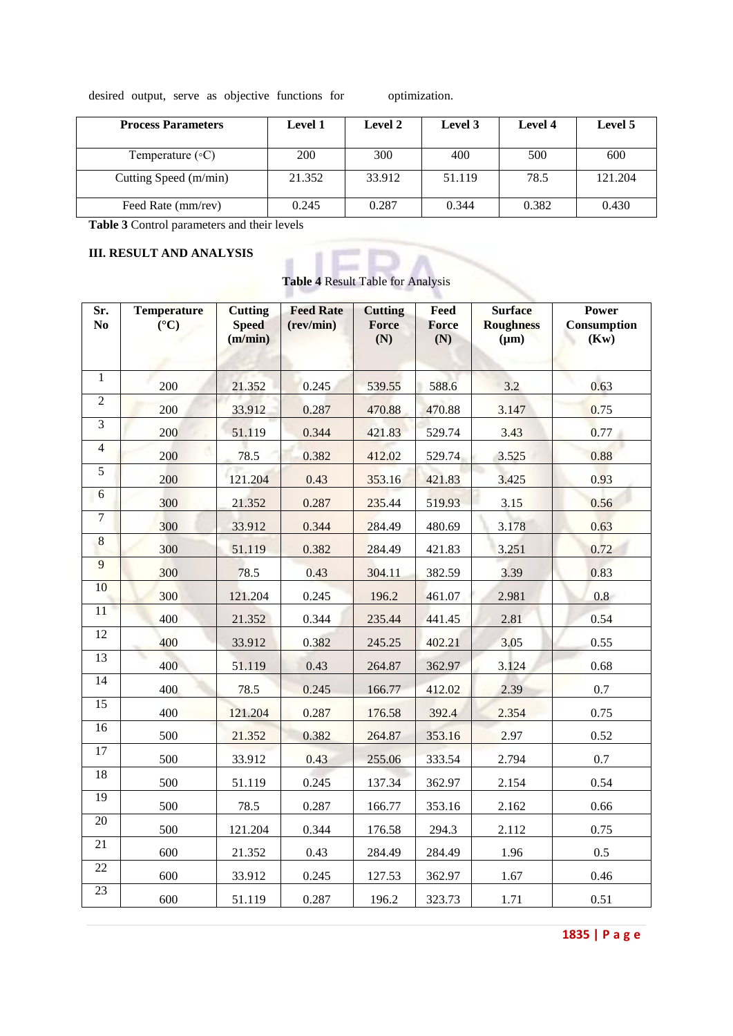desired output, serve as objective functions for optimization.

| <b>Process Parameters</b> | <b>Level 1</b> | <b>Level 2</b> | Level 3 | <b>Level 4</b> | Level 5 |
|---------------------------|----------------|----------------|---------|----------------|---------|
| Temperature $(\circ C)$   | <b>200</b>     | 300            | 400     | 500            | 600     |
| Cutting Speed (m/min)     | 21.352         | 33.912         | 51.119  | 78.5           | 121.204 |
| Feed Rate (mm/rev)        | 0.245          | 0.287          | 0.344   | 0.382          | 0.430   |

**Table 3** Control parameters and their levels

## **III. RESULT AND ANALYSIS**

**Table 4** Result Table for Analysis

| Sr.<br>N <sub>0</sub> | <b>Temperature</b><br>$({}^{\circ}{\rm C})$ | <b>Cutting</b><br><b>Speed</b><br>(m/min) | <b>Feed Rate</b><br>(rev/min) | <b>Cutting</b><br><b>Force</b><br>(N) | Feed<br>Force<br>(N) | <b>Surface</b><br><b>Roughness</b><br>$(\mu m)$ | <b>Power</b><br>Consumption<br>(Kw) |
|-----------------------|---------------------------------------------|-------------------------------------------|-------------------------------|---------------------------------------|----------------------|-------------------------------------------------|-------------------------------------|
| $\mathbf{1}$          | 200                                         | 21.352                                    | 0.245                         | 539.55                                | 588.6                | 3.2                                             | 0.63                                |
| $\overline{2}$        | 200                                         | 33.912                                    | 0.287                         | 470.88                                | 470.88               | 3.147                                           | 0.75                                |
| 3                     | 200                                         | 51.119                                    | 0.344                         | 421.83                                | 529.74               | 3.43                                            | 0.77                                |
| $\overline{4}$        | 200                                         | 78.5                                      | 0.382                         | 412.02                                | 529.74               | 3.525                                           | 0.88                                |
| $\overline{5}$        | 200                                         | 121.204                                   | 0.43                          | 353.16                                | 421.83               | 3.425                                           | 0.93                                |
| 6                     | 300                                         | 21.352                                    | 0.287                         | 235.44                                | 519.93               | 3.15                                            | 0.56                                |
| $\overline{7}$        | 300                                         | 33.912                                    | 0.344                         | 284.49                                | 480.69               | 3.178                                           | 0.63                                |
| $\overline{8}$        | 300                                         | 51.119                                    | 0.382                         | 284.49                                | 421.83               | 3.251                                           | 0.72                                |
| $\overline{9}$        | 300                                         | 78.5                                      | 0.43                          | 304.11                                | 382.59               | 3.39                                            | 0.83                                |
| 10 <sup>°</sup>       | 300                                         | 121.204                                   | 0.245                         | 196.2                                 | 461.07               | 2.981                                           | 0.8                                 |
| 11                    | 400                                         | 21.352                                    | 0.344                         | 235.44                                | 441.45               | 2.81                                            | 0.54                                |
| 12                    | 400                                         | 33.912                                    | 0.382                         | 245.25                                | 402.21               | 3.05                                            | 0.55                                |
| 13                    | 400                                         | 51.119                                    | 0.43                          | 264.87                                | 362.97               | 3.124                                           | 0.68                                |
| $\overline{14}$       | 400                                         | 78.5                                      | 0.245                         | 166.77                                | 412.02               | 2.39                                            | 0.7                                 |
| 15                    | 400                                         | 121.204                                   | 0.287                         | 176.58                                | 392.4                | 2.354                                           | 0.75                                |
| 16                    | 500                                         | 21.352                                    | 0.382                         | 264.87                                | 353.16               | 2.97                                            | 0.52                                |
| 17                    | 500                                         | 33.912                                    | 0.43                          | 255.06                                | 333.54               | 2.794                                           | $0.7\,$                             |
| 18                    | 500                                         | 51.119                                    | 0.245                         | 137.34                                | 362.97               | 2.154                                           | 0.54                                |
| 19                    | 500                                         | 78.5                                      | 0.287                         | 166.77                                | 353.16               | 2.162                                           | 0.66                                |
| 20                    | 500                                         | 121.204                                   | 0.344                         | 176.58                                | 294.3                | 2.112                                           | 0.75                                |
| 21                    | 600                                         | 21.352                                    | 0.43                          | 284.49                                | 284.49               | 1.96                                            | 0.5                                 |
| 22                    | 600                                         | 33.912                                    | 0.245                         | 127.53                                | 362.97               | 1.67                                            | 0.46                                |
| $\overline{23}$       | 600                                         | 51.119                                    | 0.287                         | 196.2                                 | 323.73               | 1.71                                            | 0.51                                |

**| P a g e**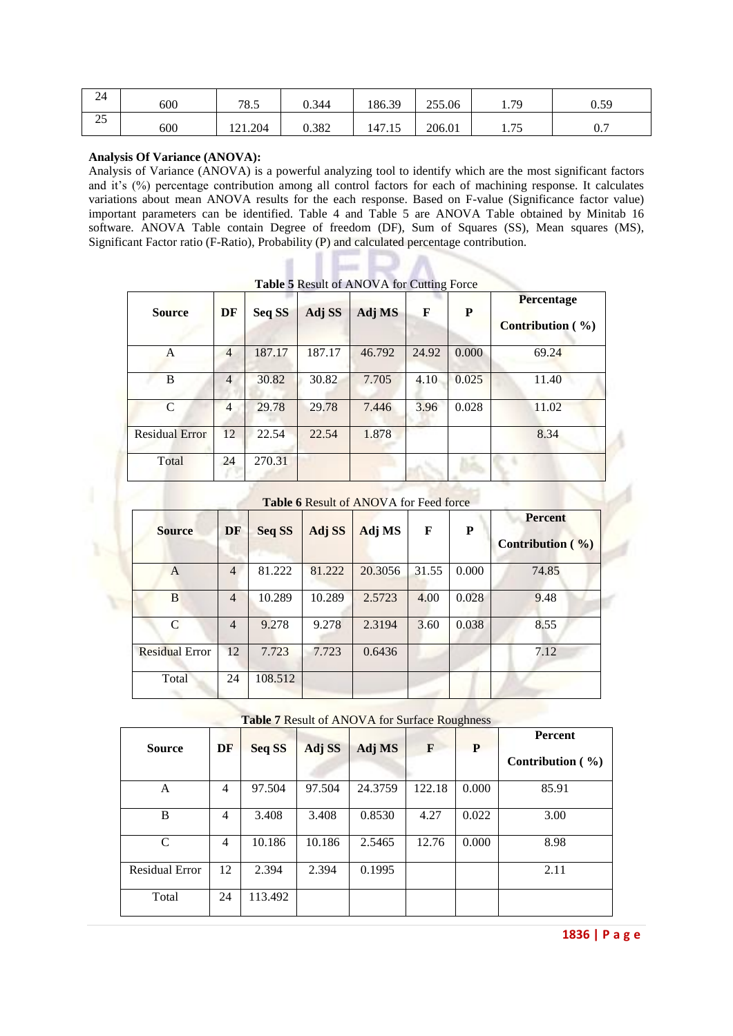| 24            | 600 | 78.5                   | 0.344 | 186.39                   | 255.06 | 79<br>1.12           | 0.59               |
|---------------|-----|------------------------|-------|--------------------------|--------|----------------------|--------------------|
| $\gamma$<br>ل | 600 | 1.204<br>$\bigwedge$ 1 | 0.382 | $\overline{A}$<br>147.IJ | 206.01 | 75<br>. . <i>. .</i> | ∩ <i>⊓</i><br>∪. ≀ |

## **Analysis Of Variance (ANOVA):**

Analysis of Variance (ANOVA) is a powerful analyzing tool to identify which are the most significant factors and it's (%) percentage contribution among all control factors for each of machining response. It calculates variations about mean ANOVA results for the each response. Based on F-value (Significance factor value) important parameters can be identified. Table 4 and Table 5 are ANOVA Table obtained by Minitab 16 software. ANOVA Table contain Degree of freedom (DF), Sum of Squares (SS), Mean squares (MS), Significant Factor ratio (F-Ratio), Probability (P) and calculated percentage contribution.

| <b>Table 5 Result of ANOVA for Cutting Force</b> |                |        |        |        |       |       |                                |  |
|--------------------------------------------------|----------------|--------|--------|--------|-------|-------|--------------------------------|--|
| <b>Source</b>                                    | DF             | Seq SS | Adj SS | Adj MS | F     | P     | Percentage<br>Contribution (%) |  |
| A                                                | $\overline{4}$ | 187.17 | 187.17 | 46.792 | 24.92 | 0.000 | 69.24                          |  |
| B                                                | $\overline{4}$ | 30.82  | 30.82  | 7.705  | 4.10  | 0.025 | 11.40                          |  |
| C                                                | $\overline{4}$ | 29.78  | 29.78  | 7.446  | 3.96  | 0.028 | 11.02                          |  |
| <b>Residual Error</b>                            | 12             | 22.54  | 22.54  | 1.878  |       |       | 8.34                           |  |
| Total                                            | 24             | 270.31 |        |        |       |       |                                |  |

#### **Table 6** Result of ANOVA for Feed force

| <b>Source</b>         | DF             | Seq SS  | Adj SS | Adj MS  | F     | P     | <b>Percent</b><br>Contribution $(\% )$ |
|-----------------------|----------------|---------|--------|---------|-------|-------|----------------------------------------|
| A                     | $\overline{4}$ | 81.222  | 81.222 | 20.3056 | 31.55 | 0.000 | 74.85                                  |
| B                     | $\overline{4}$ | 10.289  | 10.289 | 2.5723  | 4.00  | 0.028 | 9.48                                   |
| $\mathcal{C}$         | $\overline{4}$ | 9.278   | 9.278  | 2.3194  | 3.60  | 0.038 | 8.55                                   |
| <b>Residual Error</b> | 12             | 7.723   | 7.723  | 0.6436  |       |       | 7.12                                   |
| Total                 | 24             | 108.512 |        |         |       |       |                                        |

## **Table 7** Result of ANOVA for Surface Roughness

| <b>Source</b>         | DF | <b>Seq SS</b> | Adj SS | Adj MS  | F      | P     | Percent<br>Contribution $(\% )$ |
|-----------------------|----|---------------|--------|---------|--------|-------|---------------------------------|
| A                     | 4  | 97.504        | 97.504 | 24.3759 | 122.18 | 0.000 | 85.91                           |
| B                     | 4  | 3.408         | 3.408  | 0.8530  | 4.27   | 0.022 | 3.00                            |
| C                     | 4  | 10.186        | 10.186 | 2.5465  | 12.76  | 0.000 | 8.98                            |
| <b>Residual Error</b> | 12 | 2.394         | 2.394  | 0.1995  |        |       | 2.11                            |
| Total                 | 24 | 113.492       |        |         |        |       |                                 |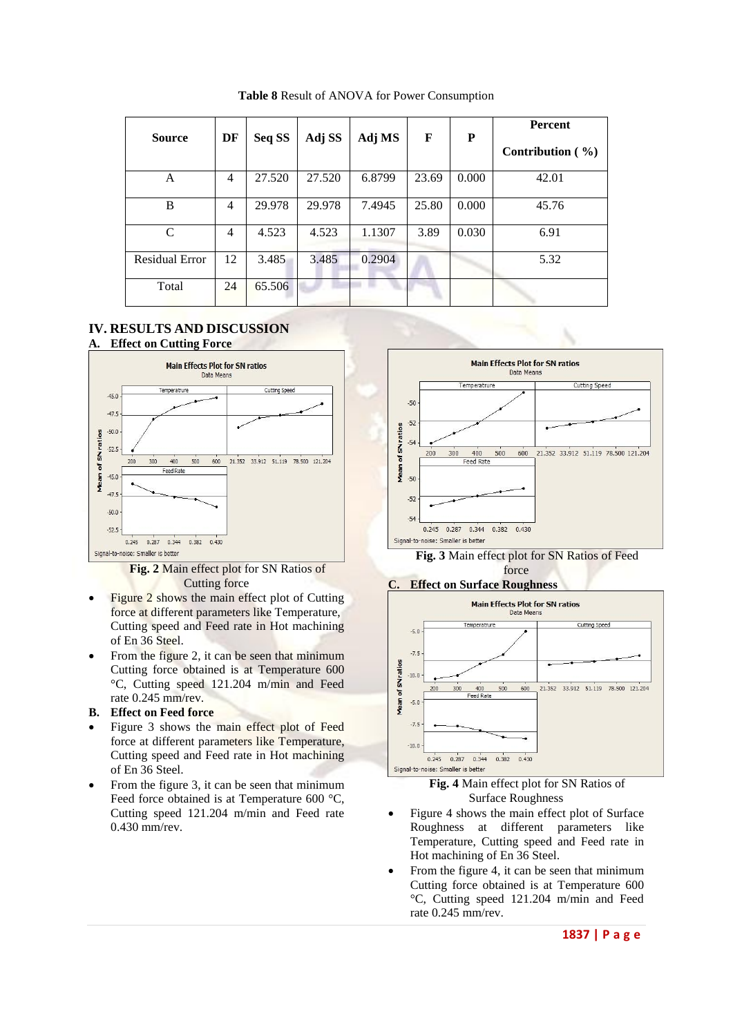| <b>Source</b>         | DF | Seq SS | Adj SS | Adj MS | F     | P     | <b>Percent</b><br>Contribution $(\% )$ |
|-----------------------|----|--------|--------|--------|-------|-------|----------------------------------------|
| A                     | 4  | 27.520 | 27.520 | 6.8799 | 23.69 | 0.000 | 42.01                                  |
| B                     | 4  | 29.978 | 29.978 | 7.4945 | 25.80 | 0.000 | 45.76                                  |
| C                     | 4  | 4.523  | 4.523  | 1.1307 | 3.89  | 0.030 | 6.91                                   |
| <b>Residual Error</b> | 12 | 3.485  | 3.485  | 0.2904 |       |       | 5.32                                   |
| Total                 | 24 | 65.506 |        |        |       |       |                                        |

**Table 8** Result of ANOVA for Power Consumption

## **IV. RESULTS AND DISCUSSION**



**Fig. 2** Main effect plot for SN Ratios of Cutting force

- Figure 2 shows the main effect plot of Cutting force at different parameters like Temperature, Cutting speed and Feed rate in Hot machining of En 36 Steel.
- From the figure 2, it can be seen that minimum Cutting force obtained is at Temperature 600 °C, Cutting speed 121.204 m/min and Feed rate 0.245 mm/rev.

#### **B. Effect on Feed force**

- Figure 3 shows the main effect plot of Feed force at different parameters like Temperature, Cutting speed and Feed rate in Hot machining of En 36 Steel.
- From the figure 3, it can be seen that minimum Feed force obtained is at Temperature 600 °C, Cutting speed 121.204 m/min and Feed rate 0.430 mm/rev.



**Fig. 3** Main effect plot for SN Ratios of Feed force

## **C. Effect on Surface Roughness**



**Fig. 4** Main effect plot for SN Ratios of Surface Roughness

- Figure 4 shows the main effect plot of Surface Roughness at different parameters like Temperature, Cutting speed and Feed rate in Hot machining of En 36 Steel.
- From the figure 4, it can be seen that minimum Cutting force obtained is at Temperature 600 °C, Cutting speed 121.204 m/min and Feed rate 0.245 mm/rev.